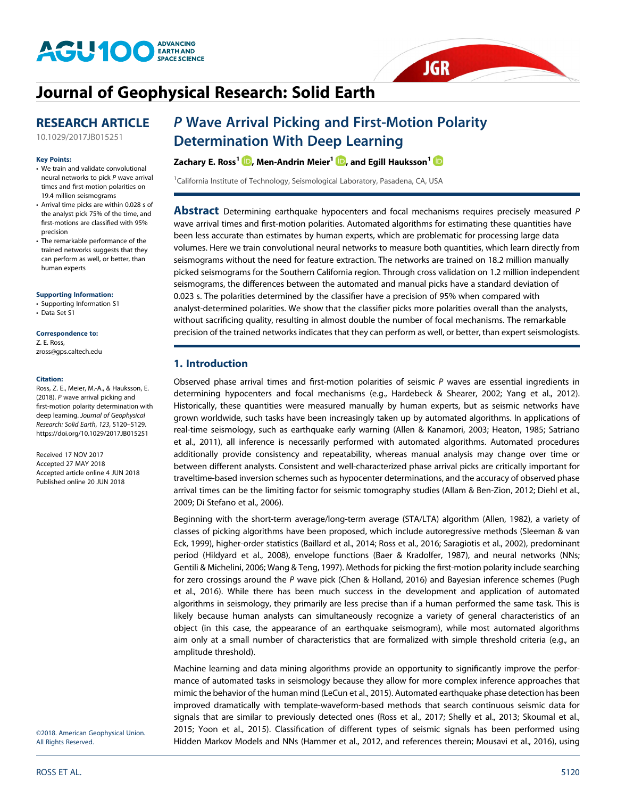

# [Journal of Geophysical Research: Solid Earth](http://onlinelibrary.wiley.com/journal/10.1002/(ISSN)2169-9356)

# RESEARCH ARTICLE

#### Key Points:

- We train and validate convolutional neural networks to pick P wave arrival times and first-motion polarities on 19.4 million seismograms
- Arrival time picks are within 0.028 s of the analyst pick 75% of the time, and first-motions are classified with 95% precision
- The remarkable performance of the trained networks suggests that they can perform as well, or better, than human experts

[Supporting Information:](http://dx.doi.org/10.1029/2017JB015251)

[•](http://dx.doi.org/10.1029/2017JB015251) [Supporting Information S1](http://dx.doi.org/10.1029/2017JB015251)

[•](http://dx.doi.org/10.1029/2017JB015251) [Data Set S1](http://dx.doi.org/10.1029/2017JB015251)

# Correspondence to:

Z. E. Ross, [zross@gps.caltech.edu](mailto:zross@gps.caltech.edu)

#### Citation:

Ross, Z. E., Meier, M.-A., & Hauksson, E. (2018). P wave arrival picking and first-motion polarity determination with deep learning. Journal of Geophysical Research: Solid Earth, 123, 5120–5129. <https://doi.org/10.1029/2017JB015251>

Received 17 NOV 2017 Accepted 27 MAY 2018 Accepted article online 4 JUN 2018 Published online 20 JUN 2018

[10.1029/2017JB015251](http://dx.doi.org/10.1029/2017JB015251)

# P Wave Arrival Picking and First-Motion Polarity Determination With Deep Learning

## Zachary E. Ross<sup>1</sup>  $\mathbf{D}$ [,](http://orcid.org/0000-0002-6343-8400) Men-Andrin Meier<sup>1</sup>  $\mathbf{D}$ , and Egill Hauksson<sup>1</sup>  $\mathbf{D}$

<sup>1</sup>California Institute of Technology, Seismological Laboratory, Pasadena, CA, USA

**Abstract** Determining earthquake hypocenters and focal mechanisms requires precisely measured P wave arrival times and first-motion polarities. Automated algorithms for estimating these quantities have been less accurate than estimates by human experts, which are problematic for processing large data volumes. Here we train convolutional neural networks to measure both quantities, which learn directly from seismograms without the need for feature extraction. The networks are trained on 18.2 million manually picked seismograms for the Southern California region. Through cross validation on 1.2 million independent seismograms, the differences between the automated and manual picks have a standard deviation of 0.023 s. The polarities determined by the classifier have a precision of 95% when compared with analyst-determined polarities. We show that the classifier picks more polarities overall than the analysts, without sacrificing quality, resulting in almost double the number of focal mechanisms. The remarkable precision of the trained networks indicates that they can perform as well, or better, than expert seismologists.

**JGR** 

# 1. Introduction

Observed phase arrival times and first-motion polarities of seismic  $P$  waves are essential ingredients in determining hypocenters and focal mechanisms (e.g., Hardebeck & Shearer, 2002; Yang et al., 2012). Historically, these quantities were measured manually by human experts, but as seismic networks have grown worldwide, such tasks have been increasingly taken up by automated algorithms. In applications of real-time seismology, such as earthquake early warning (Allen & Kanamori, 2003; Heaton, 1985; Satriano et al., 2011), all inference is necessarily performed with automated algorithms. Automated procedures additionally provide consistency and repeatability, whereas manual analysis may change over time or between different analysts. Consistent and well-characterized phase arrival picks are critically important for traveltime-based inversion schemes such as hypocenter determinations, and the accuracy of observed phase arrival times can be the limiting factor for seismic tomography studies (Allam & Ben-Zion, 2012; Diehl et al., 2009; Di Stefano et al., 2006).

Beginning with the short-term average/long-term average (STA/LTA) algorithm (Allen, 1982), a variety of classes of picking algorithms have been proposed, which include autoregressive methods (Sleeman & van Eck, 1999), higher-order statistics (Baillard et al., 2014; Ross et al., 2016; Saragiotis et al., 2002), predominant period (Hildyard et al., 2008), envelope functions (Baer & Kradolfer, 1987), and neural networks (NNs; Gentili & Michelini, 2006; Wang & Teng, 1997). Methods for picking the first-motion polarity include searching for zero crossings around the P wave pick (Chen & Holland, 2016) and Bayesian inference schemes (Pugh et al., 2016). While there has been much success in the development and application of automated algorithms in seismology, they primarily are less precise than if a human performed the same task. This is likely because human analysts can simultaneously recognize a variety of general characteristics of an object (in this case, the appearance of an earthquake seismogram), while most automated algorithms aim only at a small number of characteristics that are formalized with simple threshold criteria (e.g., an amplitude threshold).

Machine learning and data mining algorithms provide an opportunity to significantly improve the performance of automated tasks in seismology because they allow for more complex inference approaches that mimic the behavior of the human mind (LeCun et al., 2015). Automated earthquake phase detection has been improved dramatically with template-waveform-based methods that search continuous seismic data for signals that are similar to previously detected ones (Ross et al., 2017; Shelly et al., 2013; Skoumal et al., 2015; Yoon et al., 2015). Classification of different types of seismic signals has been performed using Hidden Markov Models and NNs (Hammer et al., 2012, and references therein; Mousavi et al., 2016), using

©2018. American Geophysical Union. All Rights Reserved.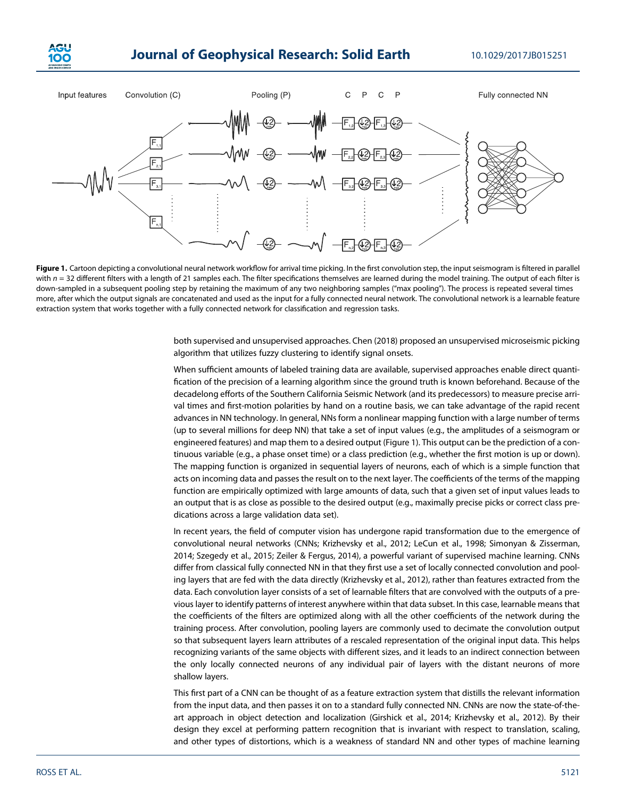

# **Journal of Geophysical Research: Solid Earth 10.1029/2017JB015251**



Figure 1. Cartoon depicting a convolutional neural network workflow for arrival time picking. In the first convolution step, the input seismogram is filtered in parallel with  $n = 32$  different filters with a length of 21 samples each. The filter specifications themselves are learned during the model training. The output of each filter is down-sampled in a subsequent pooling step by retaining the maximum of any two neighboring samples ("max pooling"). The process is repeated several times more, after which the output signals are concatenated and used as the input for a fully connected neural network. The convolutional network is a learnable feature extraction system that works together with a fully connected network for classification and regression tasks.

both supervised and unsupervised approaches. Chen (2018) proposed an unsupervised microseismic picking algorithm that utilizes fuzzy clustering to identify signal onsets.

When sufficient amounts of labeled training data are available, supervised approaches enable direct quantification of the precision of a learning algorithm since the ground truth is known beforehand. Because of the decadelong efforts of the Southern California Seismic Network (and its predecessors) to measure precise arrival times and first-motion polarities by hand on a routine basis, we can take advantage of the rapid recent advances in NN technology. In general, NNs form a nonlinear mapping function with a large number of terms (up to several millions for deep NN) that take a set of input values (e.g., the amplitudes of a seismogram or engineered features) and map them to a desired output (Figure 1). This output can be the prediction of a continuous variable (e.g., a phase onset time) or a class prediction (e.g., whether the first motion is up or down). The mapping function is organized in sequential layers of neurons, each of which is a simple function that acts on incoming data and passes the result on to the next layer. The coefficients of the terms of the mapping function are empirically optimized with large amounts of data, such that a given set of input values leads to an output that is as close as possible to the desired output (e.g., maximally precise picks or correct class predications across a large validation data set).

In recent years, the field of computer vision has undergone rapid transformation due to the emergence of convolutional neural networks (CNNs; Krizhevsky et al., 2012; LeCun et al., 1998; Simonyan & Zisserman, 2014; Szegedy et al., 2015; Zeiler & Fergus, 2014), a powerful variant of supervised machine learning. CNNs differ from classical fully connected NN in that they first use a set of locally connected convolution and pooling layers that are fed with the data directly (Krizhevsky et al., 2012), rather than features extracted from the data. Each convolution layer consists of a set of learnable filters that are convolved with the outputs of a previous layer to identify patterns of interest anywhere within that data subset. In this case, learnable means that the coefficients of the filters are optimized along with all the other coefficients of the network during the training process. After convolution, pooling layers are commonly used to decimate the convolution output so that subsequent layers learn attributes of a rescaled representation of the original input data. This helps recognizing variants of the same objects with different sizes, and it leads to an indirect connection between the only locally connected neurons of any individual pair of layers with the distant neurons of more shallow layers.

This first part of a CNN can be thought of as a feature extraction system that distills the relevant information from the input data, and then passes it on to a standard fully connected NN. CNNs are now the state-of-theart approach in object detection and localization (Girshick et al., 2014; Krizhevsky et al., 2012). By their design they excel at performing pattern recognition that is invariant with respect to translation, scaling, and other types of distortions, which is a weakness of standard NN and other types of machine learning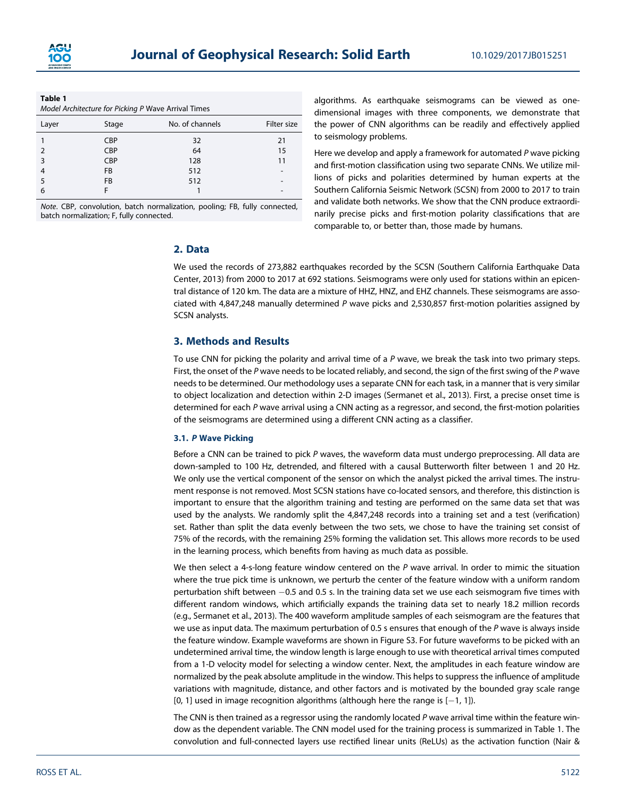

| Table 1                                             |  |
|-----------------------------------------------------|--|
| Model Architecture for Picking P Wave Arrival Times |  |

| Layer         | Stage      | No. of channels | Filter size              |
|---------------|------------|-----------------|--------------------------|
|               | <b>CBP</b> | 32              | 21                       |
| $\mathcal{P}$ | <b>CBP</b> | 64              | 15                       |
| 3             | <b>CBP</b> | 128             | 11                       |
| 4             | <b>FB</b>  | 512             | $\overline{\phantom{a}}$ |
| 5             | <b>FB</b>  | 512             | $\overline{\phantom{a}}$ |
| 6             |            |                 | -                        |

Note. CBP, convolution, batch normalization, pooling; FB, fully connected, batch normalization; F, fully connected.

algorithms. As earthquake seismograms can be viewed as onedimensional images with three components, we demonstrate that the power of CNN algorithms can be readily and effectively applied to seismology problems.

Here we develop and apply a framework for automated P wave picking and first-motion classification using two separate CNNs. We utilize millions of picks and polarities determined by human experts at the Southern California Seismic Network (SCSN) from 2000 to 2017 to train and validate both networks. We show that the CNN produce extraordinarily precise picks and first-motion polarity classifications that are comparable to, or better than, those made by humans.

## 2. Data

We used the records of 273,882 earthquakes recorded by the SCSN (Southern California Earthquake Data Center, 2013) from 2000 to 2017 at 692 stations. Seismograms were only used for stations within an epicentral distance of 120 km. The data are a mixture of HHZ, HNZ, and EHZ channels. These seismograms are associated with 4,847,248 manually determined P wave picks and 2,530,857 first-motion polarities assigned by SCSN analysts.

# 3. Methods and Results

To use CNN for picking the polarity and arrival time of a  $P$  wave, we break the task into two primary steps. First, the onset of the P wave needs to be located reliably, and second, the sign of the first swing of the P wave needs to be determined. Our methodology uses a separate CNN for each task, in a manner that is very similar to object localization and detection within 2-D images (Sermanet et al., 2013). First, a precise onset time is determined for each P wave arrival using a CNN acting as a regressor, and second, the first-motion polarities of the seismograms are determined using a different CNN acting as a classifier.

### 3.1. P Wave Picking

Before a CNN can be trained to pick  $P$  waves, the waveform data must undergo preprocessing. All data are down-sampled to 100 Hz, detrended, and filtered with a causal Butterworth filter between 1 and 20 Hz. We only use the vertical component of the sensor on which the analyst picked the arrival times. The instrument response is not removed. Most SCSN stations have co-located sensors, and therefore, this distinction is important to ensure that the algorithm training and testing are performed on the same data set that was used by the analysts. We randomly split the 4,847,248 records into a training set and a test (verification) set. Rather than split the data evenly between the two sets, we chose to have the training set consist of 75% of the records, with the remaining 25% forming the validation set. This allows more records to be used in the learning process, which benefits from having as much data as possible.

We then select a 4-s-long feature window centered on the  $P$  wave arrival. In order to mimic the situation where the true pick time is unknown, we perturb the center of the feature window with a uniform random perturbation shift between  $-0.5$  and 0.5 s. In the training data set we use each seismogram five times with different random windows, which artificially expands the training data set to nearly 18.2 million records (e.g., Sermanet et al., 2013). The 400 waveform amplitude samples of each seismogram are the features that we use as input data. The maximum perturbation of 0.5 s ensures that enough of the P wave is always inside the feature window. Example waveforms are shown in Figure S3. For future waveforms to be picked with an undetermined arrival time, the window length is large enough to use with theoretical arrival times computed from a 1-D velocity model for selecting a window center. Next, the amplitudes in each feature window are normalized by the peak absolute amplitude in the window. This helps to suppress the influence of amplitude variations with magnitude, distance, and other factors and is motivated by the bounded gray scale range [0, 1] used in image recognition algorithms (although here the range is  $[-1, 1]$ ).

The CNN is then trained as a regressor using the randomly located P wave arrival time within the feature window as the dependent variable. The CNN model used for the training process is summarized in Table 1. The convolution and full-connected layers use rectified linear units (ReLUs) as the activation function (Nair &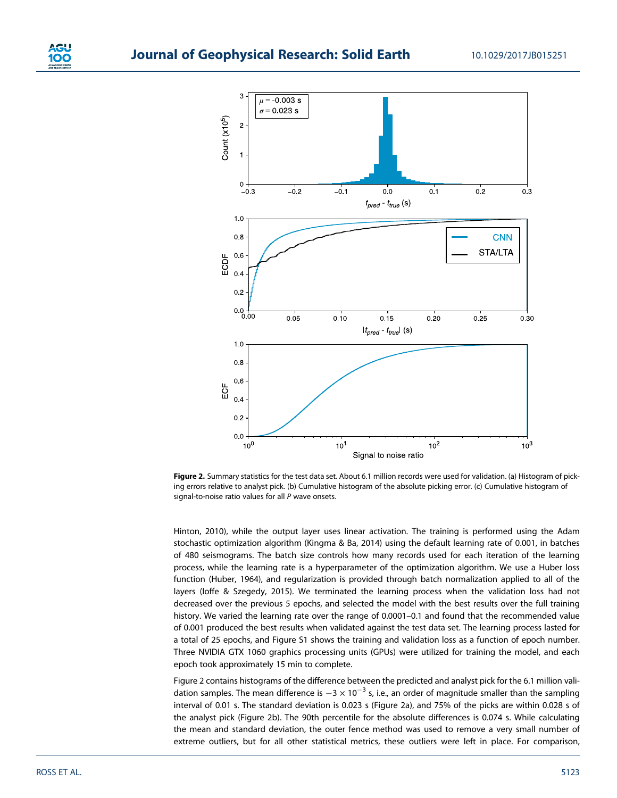

Figure 2. Summary statistics for the test data set. About 6.1 million records were used for validation. (a) Histogram of picking errors relative to analyst pick. (b) Cumulative histogram of the absolute picking error. (c) Cumulative histogram of signal-to-noise ratio values for all P wave onsets.

Hinton, 2010), while the output layer uses linear activation. The training is performed using the Adam stochastic optimization algorithm (Kingma & Ba, 2014) using the default learning rate of 0.001, in batches of 480 seismograms. The batch size controls how many records used for each iteration of the learning process, while the learning rate is a hyperparameter of the optimization algorithm. We use a Huber loss function (Huber, 1964), and regularization is provided through batch normalization applied to all of the layers (Ioffe & Szegedy, 2015). We terminated the learning process when the validation loss had not decreased over the previous 5 epochs, and selected the model with the best results over the full training history. We varied the learning rate over the range of 0.0001–0.1 and found that the recommended value of 0.001 produced the best results when validated against the test data set. The learning process lasted for a total of 25 epochs, and Figure S1 shows the training and validation loss as a function of epoch number. Three NVIDIA GTX 1060 graphics processing units (GPUs) were utilized for training the model, and each epoch took approximately 15 min to complete.

Figure 2 contains histograms of the difference between the predicted and analyst pick for the 6.1 million validation samples. The mean difference is  $-3 \times 10^{-3}$  s, i.e., an order of magnitude smaller than the sampling interval of 0.01 s. The standard deviation is 0.023 s (Figure 2a), and 75% of the picks are within 0.028 s of the analyst pick (Figure 2b). The 90th percentile for the absolute differences is 0.074 s. While calculating the mean and standard deviation, the outer fence method was used to remove a very small number of extreme outliers, but for all other statistical metrics, these outliers were left in place. For comparison,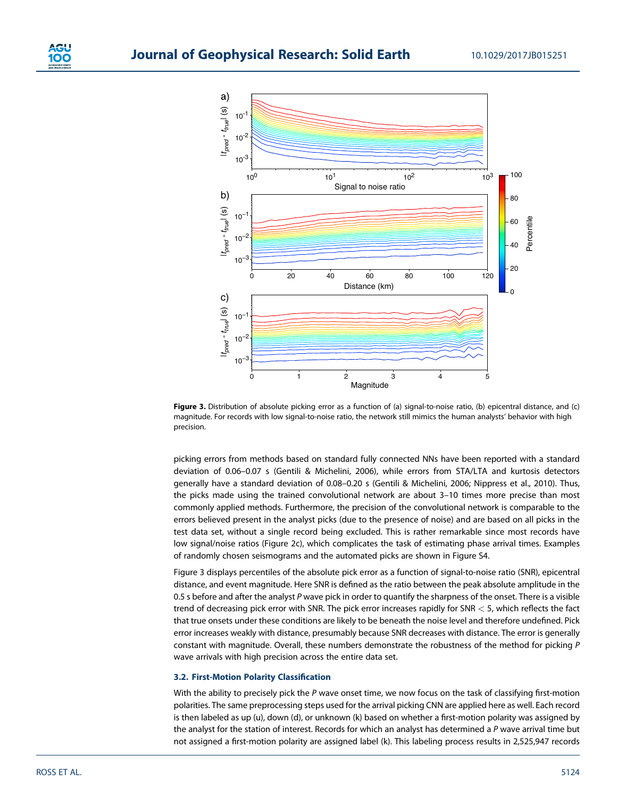

Figure 3. Distribution of absolute picking error as a function of (a) signal-to-noise ratio, (b) epicentral distance, and (c) magnitude. For records with low signal-to-noise ratio, the network still mimics the human analysts' behavior with high precision.

picking errors from methods based on standard fully connected NNs have been reported with a standard deviation of 0.06–0.07 s (Gentili & Michelini, 2006), while errors from STA/LTA and kurtosis detectors generally have a standard deviation of 0.08–0.20 s (Gentili & Michelini, 2006; Nippress et al., 2010). Thus, the picks made using the trained convolutional network are about 3–10 times more precise than most commonly applied methods. Furthermore, the precision of the convolutional network is comparable to the errors believed present in the analyst picks (due to the presence of noise) and are based on all picks in the test data set, without a single record being excluded. This is rather remarkable since most records have low signal/noise ratios (Figure 2c), which complicates the task of estimating phase arrival times. Examples of randomly chosen seismograms and the automated picks are shown in Figure S4.

Figure 3 displays percentiles of the absolute pick error as a function of signal-to-noise ratio (SNR), epicentral distance, and event magnitude. Here SNR is defined as the ratio between the peak absolute amplitude in the 0.5 s before and after the analyst P wave pick in order to quantify the sharpness of the onset. There is a visible trend of decreasing pick error with SNR. The pick error increases rapidly for SNR < 5, which reflects the fact that true onsets under these conditions are likely to be beneath the noise level and therefore undefined. Pick error increases weakly with distance, presumably because SNR decreases with distance. The error is generally constant with magnitude. Overall, these numbers demonstrate the robustness of the method for picking P wave arrivals with high precision across the entire data set.

#### 3.2. First-Motion Polarity Classification

With the ability to precisely pick the P wave onset time, we now focus on the task of classifying first-motion polarities. The same preprocessing steps used for the arrival picking CNN are applied here as well. Each record is then labeled as up (u), down (d), or unknown (k) based on whether a first-motion polarity was assigned by the analyst for the station of interest. Records for which an analyst has determined a P wave arrival time but not assigned a first-motion polarity are assigned label (k). This labeling process results in 2,525,947 records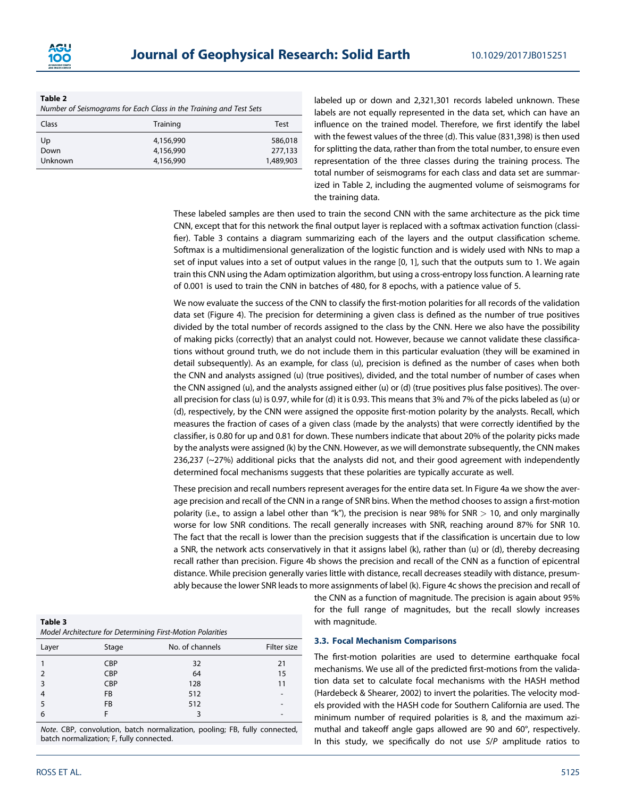

#### Table 2

|              | Number of Seismograms for Each Class in the Training and Test Sets |      |
|--------------|--------------------------------------------------------------------|------|
| <b>Class</b> | Training                                                           | Test |

| <b>Class</b> | <b>Hall IIII</b> y | ו כאנ     |
|--------------|--------------------|-----------|
| Up           | 4,156,990          | 586,018   |
| Down         | 4,156,990          | 277,133   |
| Unknown      | 4,156,990          | 1,489,903 |

labeled up or down and 2,321,301 records labeled unknown. These labels are not equally represented in the data set, which can have an influence on the trained model. Therefore, we first identify the label with the fewest values of the three (d). This value (831,398) is then used for splitting the data, rather than from the total number, to ensure even representation of the three classes during the training process. The total number of seismograms for each class and data set are summarized in Table 2, including the augmented volume of seismograms for the training data.

These labeled samples are then used to train the second CNN with the same architecture as the pick time CNN, except that for this network the final output layer is replaced with a softmax activation function (classifier). Table 3 contains a diagram summarizing each of the layers and the output classification scheme. Softmax is a multidimensional generalization of the logistic function and is widely used with NNs to map a set of input values into a set of output values in the range [0, 1], such that the outputs sum to 1. We again train this CNN using the Adam optimization algorithm, but using a cross-entropy loss function. A learning rate of 0.001 is used to train the CNN in batches of 480, for 8 epochs, with a patience value of 5.

We now evaluate the success of the CNN to classify the first-motion polarities for all records of the validation data set (Figure 4). The precision for determining a given class is defined as the number of true positives divided by the total number of records assigned to the class by the CNN. Here we also have the possibility of making picks (correctly) that an analyst could not. However, because we cannot validate these classifications without ground truth, we do not include them in this particular evaluation (they will be examined in detail subsequently). As an example, for class (u), precision is defined as the number of cases when both the CNN and analysts assigned (u) (true positives), divided, and the total number of number of cases when the CNN assigned (u), and the analysts assigned either (u) or (d) (true positives plus false positives). The overall precision for class (u) is 0.97, while for (d) it is 0.93. This means that 3% and 7% of the picks labeled as (u) or (d), respectively, by the CNN were assigned the opposite first-motion polarity by the analysts. Recall, which measures the fraction of cases of a given class (made by the analysts) that were correctly identified by the classifier, is 0.80 for up and 0.81 for down. These numbers indicate that about 20% of the polarity picks made by the analysts were assigned (k) by the CNN. However, as we will demonstrate subsequently, the CNN makes  $236,237$  ( $\sim$ 27%) additional picks that the analysts did not, and their good agreement with independently determined focal mechanisms suggests that these polarities are typically accurate as well.

These precision and recall numbers represent averages for the entire data set. In Figure 4a we show the average precision and recall of the CNN in a range of SNR bins. When the method chooses to assign a first-motion polarity (i.e., to assign a label other than "k"), the precision is near 98% for SNR  $> 10$ , and only marginally worse for low SNR conditions. The recall generally increases with SNR, reaching around 87% for SNR 10. The fact that the recall is lower than the precision suggests that if the classification is uncertain due to low a SNR, the network acts conservatively in that it assigns label (k), rather than (u) or (d), thereby decreasing recall rather than precision. Figure 4b shows the precision and recall of the CNN as a function of epicentral distance. While precision generally varies little with distance, recall decreases steadily with distance, presumably because the lower SNR leads to more assignments of label (k). Figure 4c shows the precision and recall of

| Table 3                                                    |
|------------------------------------------------------------|
| Model Architecture for Determining First-Motion Polarities |
|                                                            |

| Layer         | Stage      | No. of channels | Filter size     |
|---------------|------------|-----------------|-----------------|
|               | <b>CBP</b> | 32              | 21              |
| $\mathcal{P}$ | <b>CBP</b> | 64              | 15              |
| 3             | CBP        | 128             | 11              |
| 4             | FB         | 512             | $\qquad \qquad$ |
| 5             | FB         | 512             |                 |
| 6             |            |                 |                 |

Note. CBP, convolution, batch normalization, pooling; FB, fully connected, batch normalization; F, fully connected.

the CNN as a function of magnitude. The precision is again about 95% for the full range of magnitudes, but the recall slowly increases with magnitude.

#### 3.3. Focal Mechanism Comparisons

The first-motion polarities are used to determine earthquake focal mechanisms. We use all of the predicted first-motions from the validation data set to calculate focal mechanisms with the HASH method (Hardebeck & Shearer, 2002) to invert the polarities. The velocity models provided with the HASH code for Southern California are used. The minimum number of required polarities is 8, and the maximum azimuthal and takeoff angle gaps allowed are 90 and 60°, respectively. In this study, we specifically do not use S/P amplitude ratios to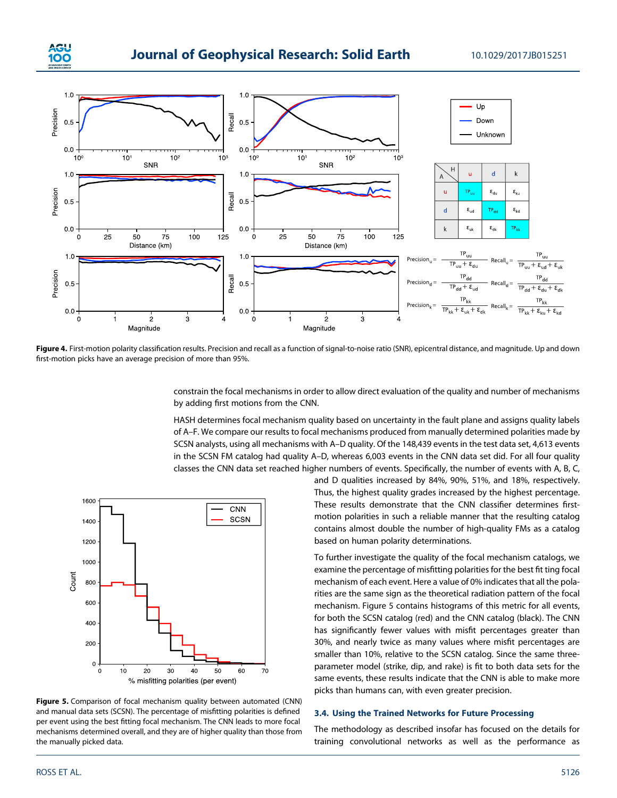



Figure 4. First-motion polarity classification results. Precision and recall as a function of signal-to-noise ratio (SNR), epicentral distance, and magnitude. Up and down first-motion picks have an average precision of more than 95%.

constrain the focal mechanisms in order to allow direct evaluation of the quality and number of mechanisms by adding first motions from the CNN.

HASH determines focal mechanism quality based on uncertainty in the fault plane and assigns quality labels of A–F. We compare our results to focal mechanisms produced from manually determined polarities made by SCSN analysts, using all mechanisms with A–D quality. Of the 148,439 events in the test data set, 4,613 events in the SCSN FM catalog had quality A–D, whereas 6,003 events in the CNN data set did. For all four quality classes the CNN data set reached higher numbers of events. Specifically, the number of events with A, B, C,



Figure 5. Comparison of focal mechanism quality between automated (CNN) and manual data sets (SCSN). The percentage of misfitting polarities is defined per event using the best fitting focal mechanism. The CNN leads to more focal mechanisms determined overall, and they are of higher quality than those from the manually picked data.

and D qualities increased by 84%, 90%, 51%, and 18%, respectively. Thus, the highest quality grades increased by the highest percentage. These results demonstrate that the CNN classifier determines firstmotion polarities in such a reliable manner that the resulting catalog contains almost double the number of high-quality FMs as a catalog based on human polarity determinations.

To further investigate the quality of the focal mechanism catalogs, we examine the percentage of misfitting polarities for the best fit ting focal mechanism of each event. Here a value of 0% indicates that all the polarities are the same sign as the theoretical radiation pattern of the focal mechanism. Figure 5 contains histograms of this metric for all events, for both the SCSN catalog (red) and the CNN catalog (black). The CNN has significantly fewer values with misfit percentages greater than 30%, and nearly twice as many values where misfit percentages are smaller than 10%, relative to the SCSN catalog. Since the same threeparameter model (strike, dip, and rake) is fit to both data sets for the same events, these results indicate that the CNN is able to make more picks than humans can, with even greater precision.

### 3.4. Using the Trained Networks for Future Processing

The methodology as described insofar has focused on the details for training convolutional networks as well as the performance as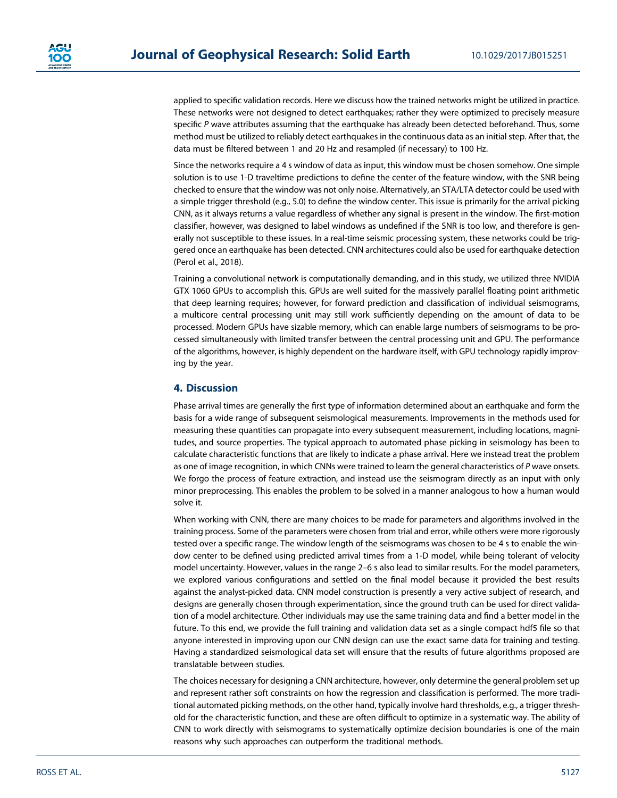applied to specific validation records. Here we discuss how the trained networks might be utilized in practice. These networks were not designed to detect earthquakes; rather they were optimized to precisely measure specific P wave attributes assuming that the earthquake has already been detected beforehand. Thus, some method must be utilized to reliably detect earthquakes in the continuous data as an initial step. After that, the data must be filtered between 1 and 20 Hz and resampled (if necessary) to 100 Hz.

Since the networks require a 4 s window of data as input, this window must be chosen somehow. One simple solution is to use 1-D traveltime predictions to define the center of the feature window, with the SNR being checked to ensure that the window was not only noise. Alternatively, an STA/LTA detector could be used with a simple trigger threshold (e.g., 5.0) to define the window center. This issue is primarily for the arrival picking CNN, as it always returns a value regardless of whether any signal is present in the window. The first-motion classifier, however, was designed to label windows as undefined if the SNR is too low, and therefore is generally not susceptible to these issues. In a real-time seismic processing system, these networks could be triggered once an earthquake has been detected. CNN architectures could also be used for earthquake detection (Perol et al., 2018).

Training a convolutional network is computationally demanding, and in this study, we utilized three NVIDIA GTX 1060 GPUs to accomplish this. GPUs are well suited for the massively parallel floating point arithmetic that deep learning requires; however, for forward prediction and classification of individual seismograms, a multicore central processing unit may still work sufficiently depending on the amount of data to be processed. Modern GPUs have sizable memory, which can enable large numbers of seismograms to be processed simultaneously with limited transfer between the central processing unit and GPU. The performance of the algorithms, however, is highly dependent on the hardware itself, with GPU technology rapidly improving by the year.

### 4. Discussion

Phase arrival times are generally the first type of information determined about an earthquake and form the basis for a wide range of subsequent seismological measurements. Improvements in the methods used for measuring these quantities can propagate into every subsequent measurement, including locations, magnitudes, and source properties. The typical approach to automated phase picking in seismology has been to calculate characteristic functions that are likely to indicate a phase arrival. Here we instead treat the problem as one of image recognition, in which CNNs were trained to learn the general characteristics of P wave onsets. We forgo the process of feature extraction, and instead use the seismogram directly as an input with only minor preprocessing. This enables the problem to be solved in a manner analogous to how a human would solve it.

When working with CNN, there are many choices to be made for parameters and algorithms involved in the training process. Some of the parameters were chosen from trial and error, while others were more rigorously tested over a specific range. The window length of the seismograms was chosen to be 4 s to enable the window center to be defined using predicted arrival times from a 1-D model, while being tolerant of velocity model uncertainty. However, values in the range 2–6 s also lead to similar results. For the model parameters, we explored various configurations and settled on the final model because it provided the best results against the analyst-picked data. CNN model construction is presently a very active subject of research, and designs are generally chosen through experimentation, since the ground truth can be used for direct validation of a model architecture. Other individuals may use the same training data and find a better model in the future. To this end, we provide the full training and validation data set as a single compact hdf5 file so that anyone interested in improving upon our CNN design can use the exact same data for training and testing. Having a standardized seismological data set will ensure that the results of future algorithms proposed are translatable between studies.

The choices necessary for designing a CNN architecture, however, only determine the general problem set up and represent rather soft constraints on how the regression and classification is performed. The more traditional automated picking methods, on the other hand, typically involve hard thresholds, e.g., a trigger threshold for the characteristic function, and these are often difficult to optimize in a systematic way. The ability of CNN to work directly with seismograms to systematically optimize decision boundaries is one of the main reasons why such approaches can outperform the traditional methods.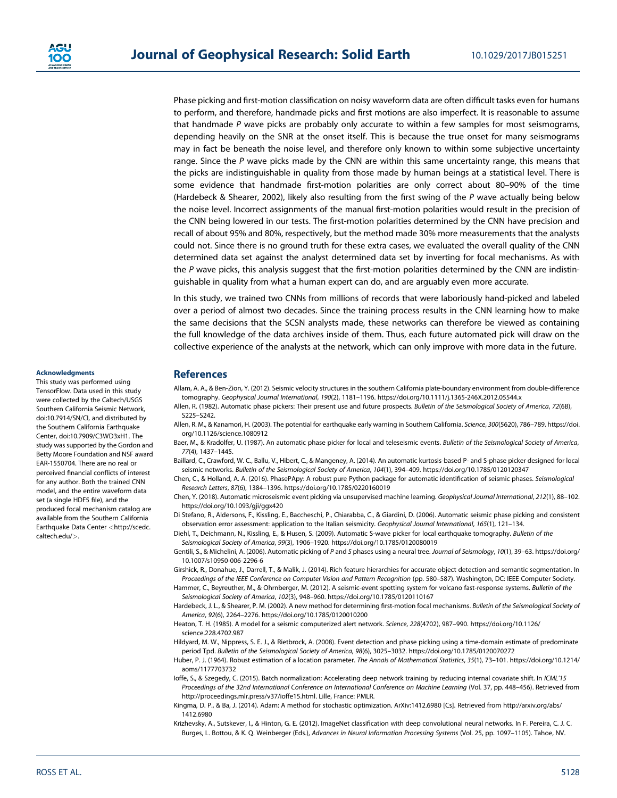

Phase picking and first-motion classification on noisy waveform data are often difficult tasks even for humans to perform, and therefore, handmade picks and first motions are also imperfect. It is reasonable to assume that handmade P wave picks are probably only accurate to within a few samples for most seismograms, depending heavily on the SNR at the onset itself. This is because the true onset for many seismograms may in fact be beneath the noise level, and therefore only known to within some subjective uncertainty range. Since the  $P$  wave picks made by the CNN are within this same uncertainty range, this means that the picks are indistinguishable in quality from those made by human beings at a statistical level. There is some evidence that handmade first-motion polarities are only correct about 80–90% of the time (Hardebeck & Shearer, 2002), likely also resulting from the first swing of the  $P$  wave actually being below the noise level. Incorrect assignments of the manual first-motion polarities would result in the precision of the CNN being lowered in our tests. The first-motion polarities determined by the CNN have precision and recall of about 95% and 80%, respectively, but the method made 30% more measurements that the analysts could not. Since there is no ground truth for these extra cases, we evaluated the overall quality of the CNN determined data set against the analyst determined data set by inverting for focal mechanisms. As with the P wave picks, this analysis suggest that the first-motion polarities determined by the CNN are indistinguishable in quality from what a human expert can do, and are arguably even more accurate.

In this study, we trained two CNNs from millions of records that were laboriously hand-picked and labeled over a period of almost two decades. Since the training process results in the CNN learning how to make the same decisions that the SCSN analysts made, these networks can therefore be viewed as containing the full knowledge of the data archives inside of them. Thus, each future automated pick will draw on the collective experience of the analysts at the network, which can only improve with more data in the future.

#### Acknowledgments

This study was performed using TensorFlow. Data used in this study were collected by the Caltech/USGS Southern California Seismic Network, [doi:10.7914/SN/CI,](https://doi:10.7914/SN/CI) and distributed by the Southern California Earthquake Center, [doi:10.7909/C3WD3xH1.](https://doi:10.7909/C3WD3xH1) The study was supported by the Gordon and Betty Moore Foundation and NSF award EAR-1550704. There are no real or perceived financial conflicts of interest for any author. Both the trained CNN model, and the entire waveform data set (a single HDF5 file), and the produced focal mechanism catalog are available from the Southern California Earthquake Data Center <[http://scedc.](http://scedc.caltech.edu/) [caltech.edu/](http://scedc.caltech.edu/)>.

#### **References**

- Allam, A. A., & Ben-Zion, Y. (2012). Seismic velocity structures in the southern California plate-boundary environment from double-difference tomography. Geophysical Journal International, 190(2), 1181–1196.<https://doi.org/10.1111/j.1365-246X.2012.05544.x>
- Allen, R. (1982). Automatic phase pickers: Their present use and future prospects. Bulletin of the Seismological Society of America, 72(6B), S225–S242.
- Allen, R. M., & Kanamori, H. (2003). The potential for earthquake early warning in Southern California. Science, 300(5620), 786-789. [https://doi.](https://doi.org/10.1126/science.1080912) [org/10.1126/science.1080912](https://doi.org/10.1126/science.1080912)
- Baer, M., & Kradolfer, U. (1987). An automatic phase picker for local and teleseismic events. Bulletin of the Seismological Society of America, 77(4), 1437–1445.
- Baillard, C., Crawford, W. C., Ballu, V., Hibert, C., & Mangeney, A. (2014). An automatic kurtosis-based P- and S-phase picker designed for local seismic networks. Bulletin of the Seismological Society of America, 104(1), 394–409.<https://doi.org/10.1785/0120120347>
- Chen, C., & Holland, A. A. (2016). PhasePApy: A robust pure Python package for automatic identification of seismic phases. Seismological Research Letters, 87(6), 1384–1396.<https://doi.org/10.1785/0220160019>
- Chen, Y. (2018). Automatic microseismic event picking via unsupervised machine learning. Geophysical Journal International, 212(1), 88–102. <https://doi.org/10.1093/gji/ggx420>
- Di Stefano, R., Aldersons, F., Kissling, E., Baccheschi, P., Chiarabba, C., & Giardini, D. (2006). Automatic seismic phase picking and consistent observation error assessment: application to the Italian seismicity. Geophysical Journal International, 165(1), 121–134.
- Diehl, T., Deichmann, N., Kissling, E., & Husen, S. (2009). Automatic S-wave picker for local earthquake tomography. Bulletin of the Seismological Society of America, 99(3), 1906–1920.<https://doi.org/10.1785/0120080019>
- Gentili, S., & Michelini, A. (2006). Automatic picking of P and S phases using a neural tree. Journal of Seismology, 10(1), 39–63. [https://doi.org/](https://doi.org/10.1007/s10950-006-2296-6) [10.1007/s10950-006-2296-6](https://doi.org/10.1007/s10950-006-2296-6)
- Girshick, R., Donahue, J., Darrell, T., & Malik, J. (2014). Rich feature hierarchies for accurate object detection and semantic segmentation. In Proceedings of the IEEE Conference on Computer Vision and Pattern Recognition (pp. 580–587). Washington, DC: IEEE Computer Society.
- Hammer, C., Beyreuther, M., & Ohrnberger, M. (2012). A seismic-event spotting system for volcano fast-response systems. Bulletin of the Seismological Society of America, 102(3), 948–960.<https://doi.org/10.1785/0120110167>
- Hardebeck, J. L., & Shearer, P. M. (2002). A new method for determining first-motion focal mechanisms. Bulletin of the Seismological Society of America, 92(6), 2264–2276.<https://doi.org/10.1785/0120010200>
- Heaton, T. H. (1985). A model for a seismic computerized alert network. Science, 228(4702), 987–990. [https://doi.org/10.1126/](https://doi.org/10.1126/science.228.4702.987) [science.228.4702.987](https://doi.org/10.1126/science.228.4702.987)
- Hildyard, M. W., Nippress, S. E. J., & Rietbrock, A. (2008). Event detection and phase picking using a time-domain estimate of predominate period Tpd. Bulletin of the Seismological Society of America, 98(6), 3025–3032.<https://doi.org/10.1785/0120070272>
- Huber, P. J. (1964). Robust estimation of a location parameter. The Annals of Mathematical Statistics, 35(1), 73–101. [https://doi.org/10.1214/](https://doi.org/10.1214/aoms/1177703732) [aoms/1177703732](https://doi.org/10.1214/aoms/1177703732)
- loffe, S., & Szegedy, C. (2015). Batch normalization: Accelerating deep network training by reducing internal covariate shift. In ICML'15 Proceedings of the 32nd International Conference on International Conference on Machine Learning (Vol. 37, pp. 448–456). Retrieved from <http://proceedings.mlr.press/v37/ioffe15.html>. Lille, France: PMLR.
- Kingma, D. P., & Ba, J. (2014). Adam: A method for stochastic optimization. ArXiv:1412.6980 [Cs]. Retrieved from [http://arxiv.org/abs/](http://arxiv.org/abs/1412.6980) [1412.6980](http://arxiv.org/abs/1412.6980)
- Krizhevsky, A., Sutskever, I., & Hinton, G. E. (2012). ImageNet classification with deep convolutional neural networks. In F. Pereira, C. J. C. Burges, L. Bottou, & K. Q. Weinberger (Eds.), Advances in Neural Information Processing Systems (Vol. 25, pp. 1097–1105). Tahoe, NV.